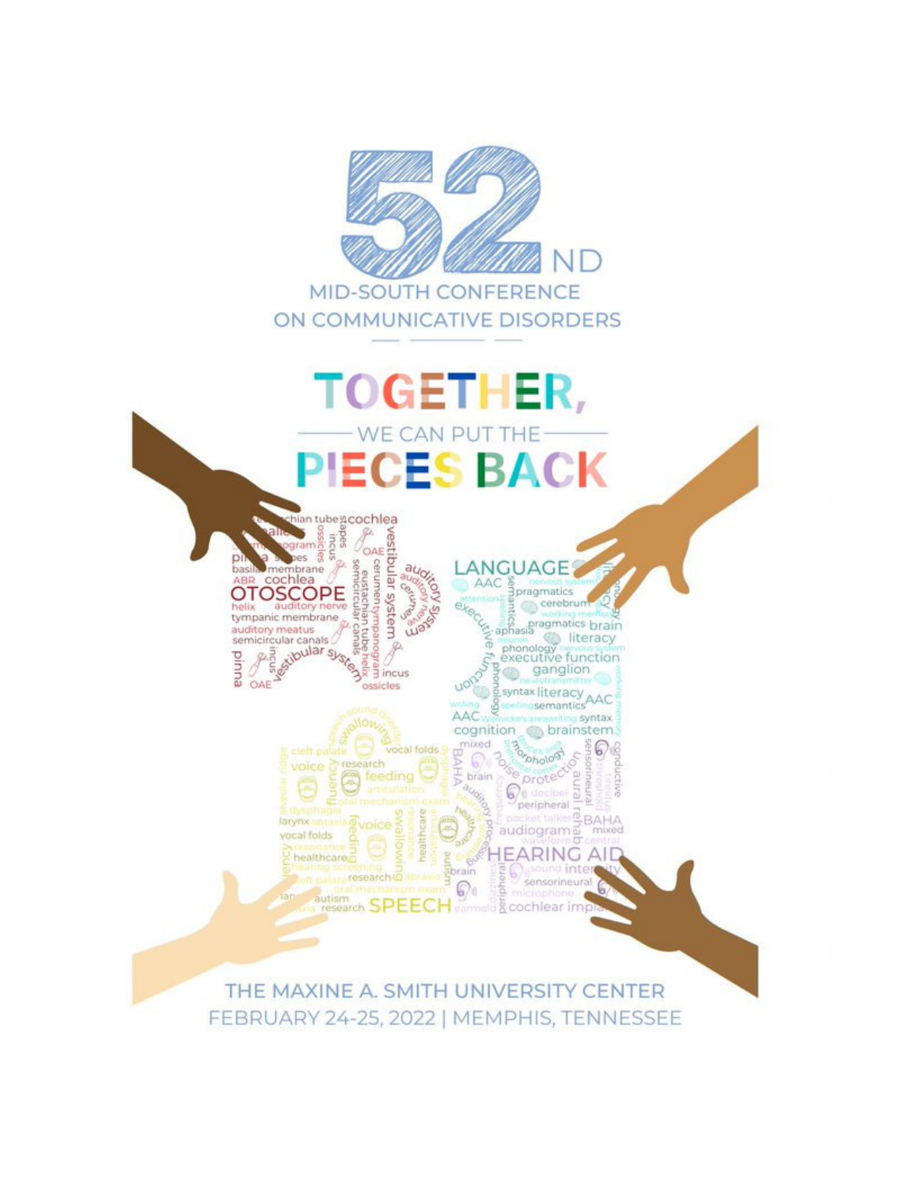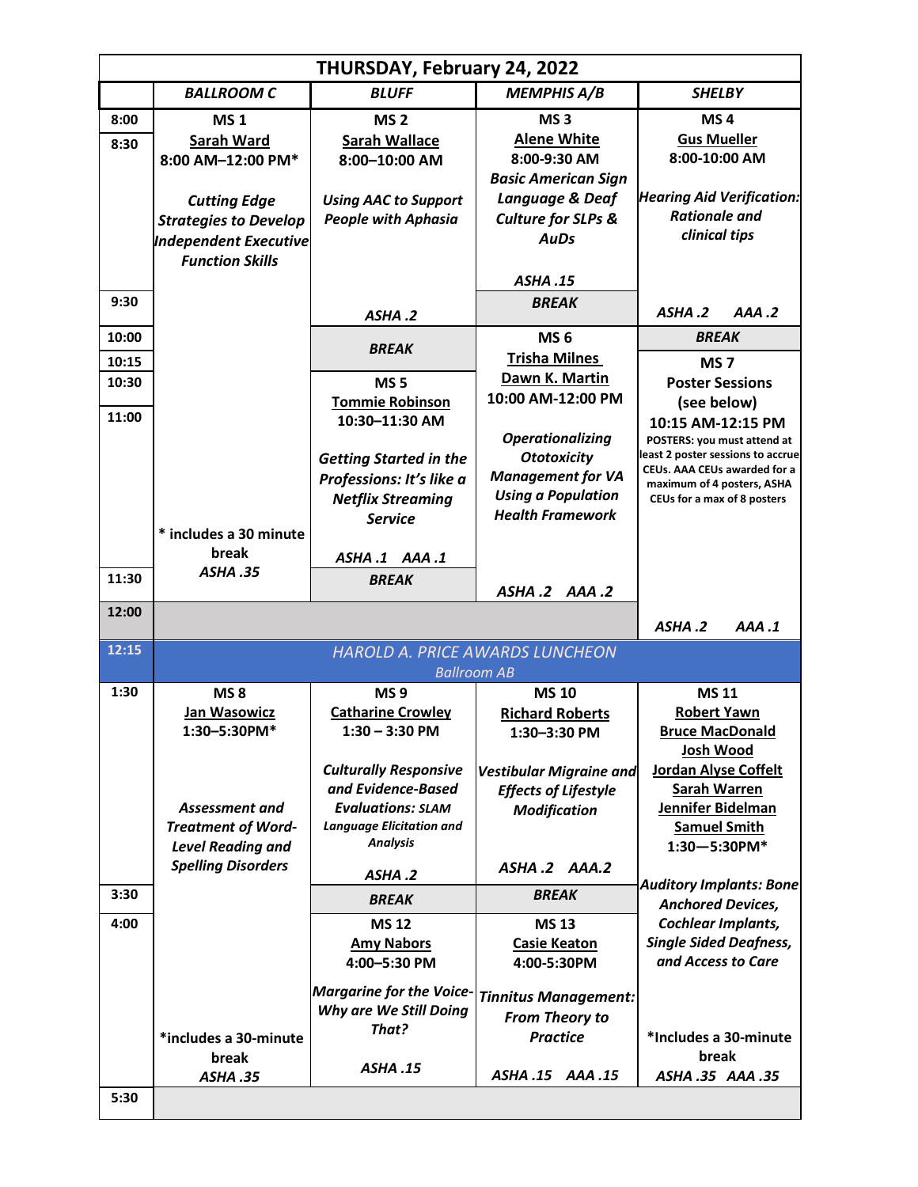| THURSDAY, February 24, 2022 |                                                                                                               |                                                                                                                           |                                                                                                                                   |                                                                                                                                                                                           |  |  |
|-----------------------------|---------------------------------------------------------------------------------------------------------------|---------------------------------------------------------------------------------------------------------------------------|-----------------------------------------------------------------------------------------------------------------------------------|-------------------------------------------------------------------------------------------------------------------------------------------------------------------------------------------|--|--|
|                             | <b>BALLROOM C</b>                                                                                             | <b>BLUFF</b>                                                                                                              | <b>MEMPHIS A/B</b>                                                                                                                | <b>SHELBY</b>                                                                                                                                                                             |  |  |
| 8:00<br>8:30                | <b>MS1</b><br>Sarah Ward<br>8:00 AM-12:00 PM*                                                                 | MS <sub>2</sub><br><b>Sarah Wallace</b><br>8:00-10:00 AM                                                                  | MS <sub>3</sub><br><b>Alene White</b><br>8:00-9:30 AM<br><b>Basic American Sign</b>                                               | MS <sub>4</sub><br><b>Gus Mueller</b><br>8:00-10:00 AM                                                                                                                                    |  |  |
|                             | <b>Cutting Edge</b><br><b>Strategies to Develop</b><br><b>Independent Executive</b><br><b>Function Skills</b> | <b>Using AAC to Support</b><br><b>People with Aphasia</b>                                                                 | Language & Deaf<br><b>Culture for SLPs &amp;</b><br><b>AuDs</b><br>ASHA.15                                                        | <b>Hearing Aid Verification:</b><br><b>Rationale and</b><br>clinical tips                                                                                                                 |  |  |
| 9:30                        |                                                                                                               | ASHA.2                                                                                                                    | <b>BREAK</b>                                                                                                                      | ASHA.2<br>AAA.2                                                                                                                                                                           |  |  |
| 10:00<br>10:15              |                                                                                                               | <b>BREAK</b>                                                                                                              | MS <sub>6</sub><br><b>Trisha Milnes</b>                                                                                           | <b>BREAK</b><br>MS <sub>7</sub>                                                                                                                                                           |  |  |
| 10:30<br>11:00              |                                                                                                               | <b>MS5</b><br><b>Tommie Robinson</b>                                                                                      | Dawn K. Martin<br>10:00 AM-12:00 PM                                                                                               | <b>Poster Sessions</b><br>(see below)                                                                                                                                                     |  |  |
|                             |                                                                                                               | 10:30-11:30 AM<br><b>Getting Started in the</b><br>Professions: It's like a<br><b>Netflix Streaming</b><br><b>Service</b> | <b>Operationalizing</b><br><b>Ototoxicity</b><br><b>Management for VA</b><br><b>Using a Population</b><br><b>Health Framework</b> | 10:15 AM-12:15 PM<br>POSTERS: you must attend at<br>least 2 poster sessions to accrue<br><b>CEUs. AAA CEUs awarded for a</b><br>maximum of 4 posters, ASHA<br>CEUs for a max of 8 posters |  |  |
|                             | * includes a 30 minute<br>break                                                                               | ASHA.1 AAA.1                                                                                                              |                                                                                                                                   |                                                                                                                                                                                           |  |  |
| 11:30                       | <b>ASHA.35</b>                                                                                                | <b>BREAK</b>                                                                                                              | ASHA .2 AAA .2                                                                                                                    |                                                                                                                                                                                           |  |  |
| 12:00                       |                                                                                                               |                                                                                                                           |                                                                                                                                   | ASHA.2<br>AAA.1                                                                                                                                                                           |  |  |
| 12:15                       |                                                                                                               | <b>HAROLD A. PRICE AWARDS LUNCHEON</b><br><b>Ballroom AB</b>                                                              |                                                                                                                                   |                                                                                                                                                                                           |  |  |
| 1:30                        | <b>MS8</b><br><b>Jan Wasowicz</b><br>1:30-5:30PM*                                                             | MS <sub>9</sub><br><b>Catharine Crowley</b><br>$1:30 - 3:30$ PM<br><b>Culturally Responsive</b>                           | <b>MS 10</b><br><b>Richard Roberts</b><br>1:30-3:30 PM<br><b>Vestibular Migraine and</b>                                          | <b>MS11</b><br><b>Robert Yawn</b><br><b>Bruce MacDonald</b><br><b>Josh Wood</b><br><b>Jordan Alyse Coffelt</b>                                                                            |  |  |
|                             | <b>Assessment and</b><br><b>Treatment of Word-</b><br><b>Level Reading and</b><br><b>Spelling Disorders</b>   | and Evidence-Based<br><b>Evaluations: SLAM</b><br><b>Language Elicitation and</b><br><b>Analysis</b>                      | <b>Effects of Lifestyle</b><br><b>Modification</b><br>ASHA.2 AAA.2                                                                | <b>Sarah Warren</b><br>Jennifer Bidelman<br><b>Samuel Smith</b><br>$1:30 - 5:30$ PM*                                                                                                      |  |  |
| 3:30                        |                                                                                                               | ASHA.2<br><b>BREAK</b>                                                                                                    | <b>BREAK</b>                                                                                                                      | <b>Auditory Implants: Bone</b>                                                                                                                                                            |  |  |
| 4:00                        |                                                                                                               | <b>MS12</b><br><b>Amy Nabors</b><br>4:00-5:30 PM                                                                          | <b>MS 13</b><br><b>Casie Keaton</b><br>4:00-5:30PM                                                                                | <b>Anchored Devices,</b><br>Cochlear Implants,<br><b>Single Sided Deafness,</b><br>and Access to Care                                                                                     |  |  |
|                             | *includes a 30-minute<br>break                                                                                | <b>Margarine for the Voice-</b><br>Why are We Still Doing<br>That?<br><b>ASHA.15</b>                                      | <b>Tinnitus Management:</b><br><b>From Theory to</b><br><b>Practice</b>                                                           | *Includes a 30-minute<br>break                                                                                                                                                            |  |  |
| 5:30                        | ASHA.35                                                                                                       |                                                                                                                           | ASHA .15<br>AAA .15                                                                                                               | ASHA.35 AAA.35                                                                                                                                                                            |  |  |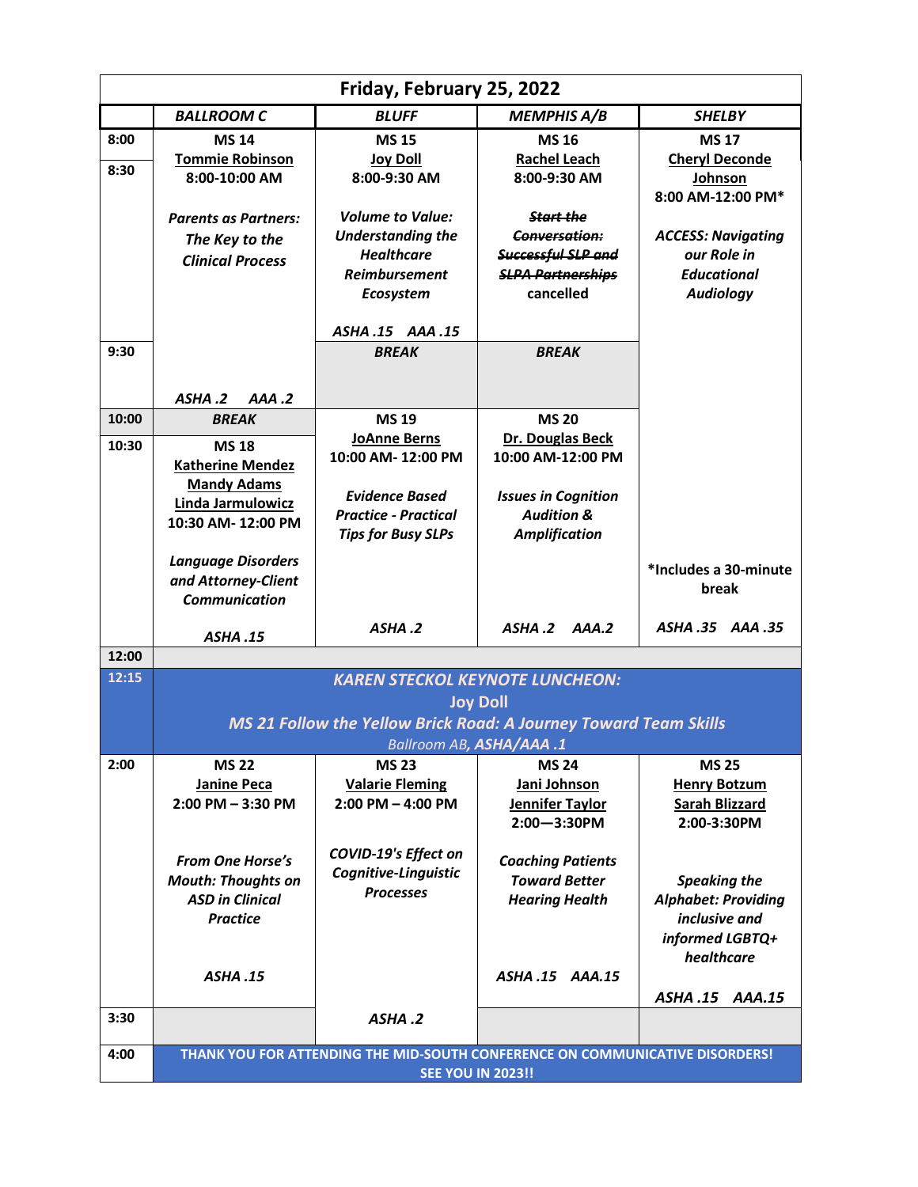| Friday, February 25, 2022 |                                                                                                                               |                                                                                                                                 |                                                                                                                      |                                                                                                     |  |  |
|---------------------------|-------------------------------------------------------------------------------------------------------------------------------|---------------------------------------------------------------------------------------------------------------------------------|----------------------------------------------------------------------------------------------------------------------|-----------------------------------------------------------------------------------------------------|--|--|
|                           | <b>BALLROOM C</b>                                                                                                             | <b>BLUFF</b>                                                                                                                    | <b>MEMPHIS A/B</b>                                                                                                   | <b>SHELBY</b>                                                                                       |  |  |
| 8:00<br>8:30              | <b>MS 14</b><br><b>Tommie Robinson</b><br>8:00-10:00 AM                                                                       | <b>MS15</b><br><b>Joy Doll</b><br>8:00-9:30 AM                                                                                  | <b>MS16</b><br><b>Rachel Leach</b><br>8:00-9:30 AM                                                                   | <b>MS17</b><br><b>Cheryl Deconde</b><br>Johnson<br>8:00 AM-12:00 PM*                                |  |  |
|                           | <b>Parents as Partners:</b><br>The Key to the<br><b>Clinical Process</b>                                                      | <b>Volume to Value:</b><br><b>Understanding the</b><br><b>Healthcare</b><br><b>Reimbursement</b><br>Ecosystem<br>ASHA.15 AAA.15 | <b>Start the</b><br><b>Conversation:</b><br>Successful SLP and<br><b>SLPA Partnerships</b><br>cancelled              | <b>ACCESS: Navigating</b><br>our Role in<br><b>Educational</b><br><b>Audiology</b>                  |  |  |
| 9:30                      |                                                                                                                               | <b>BREAK</b>                                                                                                                    | <b>BREAK</b>                                                                                                         |                                                                                                     |  |  |
| 10:00                     | AAA.2<br>ASHA.2<br><b>BREAK</b>                                                                                               | <b>MS 19</b>                                                                                                                    | <b>MS 20</b>                                                                                                         |                                                                                                     |  |  |
| 10:30                     | <b>MS18</b><br><b>Katherine Mendez</b><br><b>Mandy Adams</b><br>Linda Jarmulowicz<br>10:30 AM-12:00 PM                        | <b>JoAnne Berns</b><br>10:00 AM-12:00 PM<br><b>Evidence Based</b><br><b>Practice - Practical</b><br><b>Tips for Busy SLPs</b>   | Dr. Douglas Beck<br>10:00 AM-12:00 PM<br><b>Issues in Cognition</b><br><b>Audition &amp;</b><br><b>Amplification</b> |                                                                                                     |  |  |
|                           | <b>Language Disorders</b><br>and Attorney-Client<br><b>Communication</b>                                                      | ASHA.2                                                                                                                          | ASHA.2<br>AAA.2                                                                                                      | *Includes a 30-minute<br>break<br>ASHA.35 AAA.35                                                    |  |  |
| 12:00                     | <b>ASHA.15</b>                                                                                                                |                                                                                                                                 |                                                                                                                      |                                                                                                     |  |  |
| 12:15                     | <b>KAREN STECKOL KEYNOTE LUNCHEON:</b><br><b>Joy Doll</b><br>MS 21 Follow the Yellow Brick Road: A Journey Toward Team Skills |                                                                                                                                 |                                                                                                                      |                                                                                                     |  |  |
|                           | <b>Ballroom AB, ASHA/AAA.1</b>                                                                                                |                                                                                                                                 |                                                                                                                      |                                                                                                     |  |  |
| 2:00                      | <b>MS 22</b><br><b>Janine Peca</b><br>$2:00$ PM $-3:30$ PM                                                                    | <b>MS 23</b><br><b>Valarie Fleming</b><br>$2:00$ PM $-$ 4:00 PM                                                                 | <b>MS 24</b><br>Jani Johnson<br>Jennifer Taylor<br>$2:00 - 3:30$ PM                                                  | <b>MS 25</b><br><b>Henry Botzum</b><br><b>Sarah Blizzard</b><br>2:00-3:30PM                         |  |  |
|                           | <b>From One Horse's</b><br><b>Mouth: Thoughts on</b><br><b>ASD in Clinical</b><br><b>Practice</b>                             | <b>COVID-19's Effect on</b><br>Cognitive-Linguistic<br><b>Processes</b>                                                         | <b>Coaching Patients</b><br><b>Toward Better</b><br><b>Hearing Health</b>                                            | <b>Speaking the</b><br><b>Alphabet: Providing</b><br>inclusive and<br>informed LGBTQ+<br>healthcare |  |  |
|                           | <b>ASHA.15</b>                                                                                                                |                                                                                                                                 | ASHA.15 AAA.15                                                                                                       | ASHA.15 AAA.15                                                                                      |  |  |
| 3:30                      |                                                                                                                               | ASHA.2                                                                                                                          |                                                                                                                      |                                                                                                     |  |  |
| 4:00                      | THANK YOU FOR ATTENDING THE MID-SOUTH CONFERENCE ON COMMUNICATIVE DISORDERS!<br><b>SEE YOU IN 2023!!</b>                      |                                                                                                                                 |                                                                                                                      |                                                                                                     |  |  |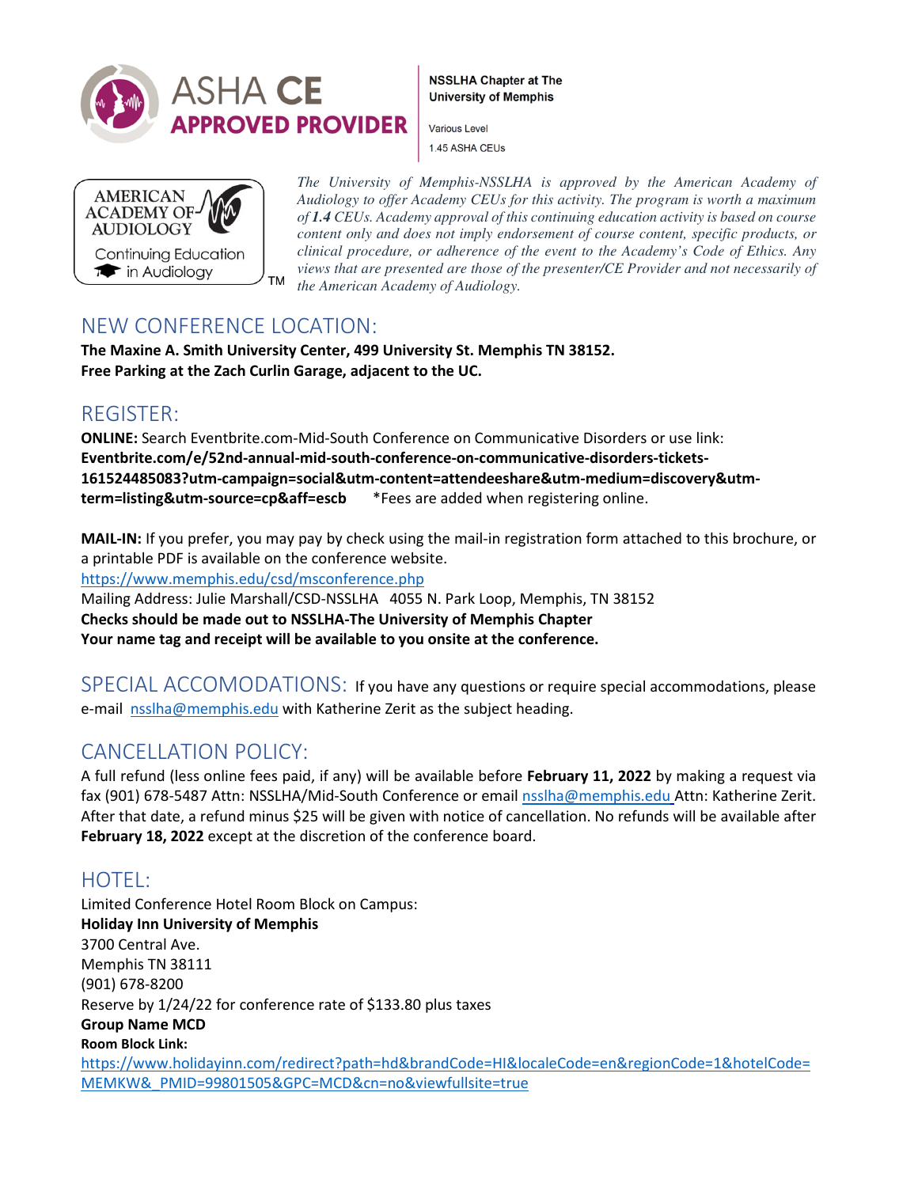

**NSSLHA Chapter at The University of Memphis** 

Various Level 1.45 ASHA CEUs



*The University of Memphis-NSSLHA is approved by the American Academy of Audiology to offer Academy CEUs for this activity. The program is worth a maximum of 1.4 CEUs. Academy approval of this continuing education activity is based on course content only and does not imply endorsement of course content, specific products, or clinical procedure, or adherence of the event to the Academy's Code of Ethics. Any views that are presented are those of the presenter/CE Provider and not necessarily of the American Academy of Audiology.*

## NEW CONFERENCE LOCATION:

**The Maxine A. Smith University Center, 499 University St. Memphis TN 38152. Free Parking at the Zach Curlin Garage, adjacent to the UC.** 

## REGISTER:

**ONLINE:** Search Eventbrite.com-Mid-South Conference on Communicative Disorders or use link: **Eventbrite.com/e/52nd-annual-mid-south-conference-on-communicative-disorders-tickets-161524485083?utm-campaign=social&utm-content=attendeeshare&utm-medium=discovery&utmterm=listing&utm-source=cp&aff=escb** \*Fees are added when registering online.

**MAIL-IN:** If you prefer, you may pay by check using the mail-in registration form attached to this brochure, or a printable PDF is available on the conference website.

https://www.memphis.edu/csd/msconference.php

Mailing Address: Julie Marshall/CSD-NSSLHA 4055 N. Park Loop, Memphis, TN 38152 **Checks should be made out to NSSLHA-The University of Memphis Chapter Your name tag and receipt will be available to you onsite at the conference.**

SPECIAL ACCOMODATIONS:If you have any questions or require special accommodations, please e-mail nsslha@memphis.edu with Katherine Zerit as the subject heading.

## CANCELLATION POLICY:

A full refund (less online fees paid, if any) will be available before **February 11, 2022** by making a request via fax (901) 678-5487 Attn: NSSLHA/Mid-South Conference or email nsslha@memphis.edu Attn: Katherine Zerit. After that date, a refund minus \$25 will be given with notice of cancellation. No refunds will be available after **February 18, 2022** except at the discretion of the conference board.

# HOTEL:

Limited Conference Hotel Room Block on Campus: **Holiday Inn University of Memphis** 3700 Central Ave. Memphis TN 38111 (901) 678-8200 Reserve by 1/24/22 for conference rate of \$133.80 plus taxes **Group Name MCD Room Block Link:**  https://www.holidayinn.com/redirect?path=hd&brandCode=HI&localeCode=en&regionCode=1&hotelCode= MEMKW&\_PMID=99801505&GPC=MCD&cn=no&viewfullsite=true